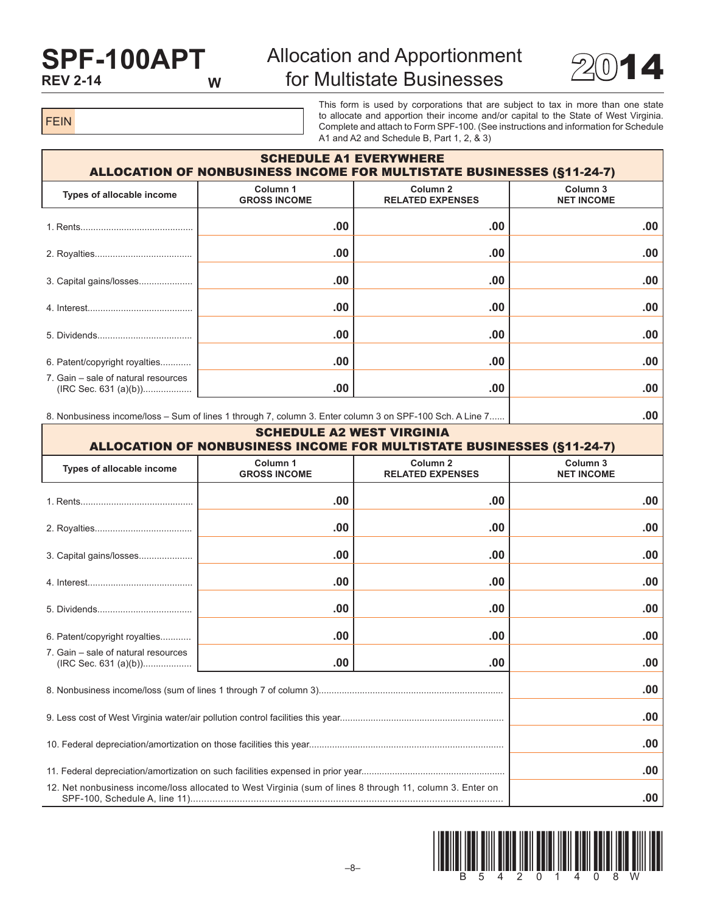## **SPF-100APT REV 2-14**

## Allocation and Apportionment for Multistate Businesses  $2014$



FEIN

This form is used by corporations that are subject to tax in more than one state to allocate and apportion their income and/or capital to the State of West Virginia. Complete and attach to Form SPF-100. (See instructions and information for Schedule A1 and A2 and Schedule B, Part 1, 2, & 3)

| <b>SCHEDULE A1 EVERYWHERE</b><br><b>ALLOCATION OF NONBUSINESS INCOME FOR MULTISTATE BUSINESSES (§11-24-7)</b> |                                 |                                                |                               |  |  |  |  |
|---------------------------------------------------------------------------------------------------------------|---------------------------------|------------------------------------------------|-------------------------------|--|--|--|--|
| Types of allocable income                                                                                     | Column 1<br><b>GROSS INCOME</b> | Column <sub>2</sub><br><b>RELATED EXPENSES</b> | Column 3<br><b>NET INCOME</b> |  |  |  |  |
|                                                                                                               | .00.                            | .00                                            | $.00 \,$                      |  |  |  |  |
|                                                                                                               | .00.                            | .00                                            | .00                           |  |  |  |  |
| 3. Capital gains/losses                                                                                       | .00.                            | .00                                            | .00                           |  |  |  |  |
|                                                                                                               | .00.                            | .00                                            | .00                           |  |  |  |  |
|                                                                                                               | .00.                            | .00                                            | .00                           |  |  |  |  |
| 6. Patent/copyright royalties                                                                                 | .00                             | .00                                            | .00                           |  |  |  |  |
| 7. Gain – sale of natural resources                                                                           | .00                             | .00                                            | .00                           |  |  |  |  |

8. Nonbusiness income/loss – Sum of lines 1 through 7, column 3. Enter column 3 on SPF-100 Sch. A Line 7...... **.00**

| <b>SCHEDULE A2 WEST VIRGINIA</b><br><b>ALLOCATION OF NONBUSINESS INCOME FOR MULTISTATE BUSINESSES (§11-24-7)</b> |                                            |                                                |                                          |  |  |  |  |
|------------------------------------------------------------------------------------------------------------------|--------------------------------------------|------------------------------------------------|------------------------------------------|--|--|--|--|
| Types of allocable income                                                                                        | Column <sub>1</sub><br><b>GROSS INCOME</b> | Column <sub>2</sub><br><b>RELATED EXPENSES</b> | Column <sub>3</sub><br><b>NET INCOME</b> |  |  |  |  |
|                                                                                                                  | .00                                        | .00                                            | .00                                      |  |  |  |  |
|                                                                                                                  | .00                                        | .00                                            | .00                                      |  |  |  |  |
| 3. Capital gains/losses                                                                                          | .00                                        | .00                                            | .00                                      |  |  |  |  |
|                                                                                                                  | .00                                        | .00                                            | .00                                      |  |  |  |  |
|                                                                                                                  | .00                                        | .00                                            | .00                                      |  |  |  |  |
| 6. Patent/copyright royalties                                                                                    | .00                                        | .00                                            | .00                                      |  |  |  |  |
| 7. Gain - sale of natural resources                                                                              | .00                                        | .00                                            | .00                                      |  |  |  |  |
|                                                                                                                  | .00                                        |                                                |                                          |  |  |  |  |
|                                                                                                                  | .00                                        |                                                |                                          |  |  |  |  |
|                                                                                                                  | .00                                        |                                                |                                          |  |  |  |  |
|                                                                                                                  | .00                                        |                                                |                                          |  |  |  |  |
| 12. Net nonbusiness income/loss allocated to West Virginia (sum of lines 8 through 11, column 3. Enter on        | .00                                        |                                                |                                          |  |  |  |  |